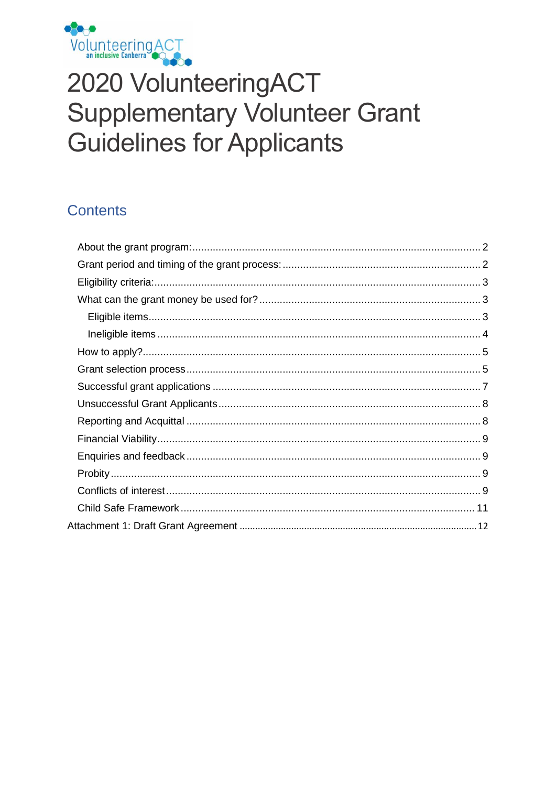

# 2020 VolunteeringACT **Supplementary Volunteer Grant Guidelines for Applicants**

# **Contents**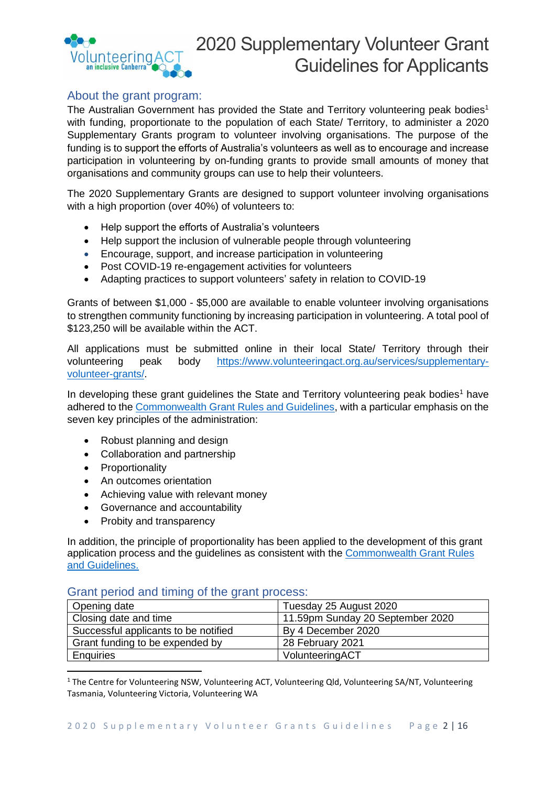

# <span id="page-1-0"></span>About the grant program:

The Australian Government has provided the State and Territory volunteering peak bodies<sup>1</sup> with funding, proportionate to the population of each State/ Territory, to administer a 2020 Supplementary Grants program to volunteer involving organisations. The purpose of the funding is to support the efforts of Australia's volunteers as well as to encourage and increase participation in volunteering by on-funding grants to provide small amounts of money that organisations and community groups can use to help their volunteers.

The 2020 Supplementary Grants are designed to support volunteer involving organisations with a high proportion (over 40%) of volunteers to:

- Help support the efforts of Australia's volunteers
- Help support the inclusion of vulnerable people through volunteering
- Encourage, support, and increase participation in volunteering
- Post COVID-19 re-engagement activities for volunteers
- Adapting practices to support volunteers' safety in relation to COVID-19

Grants of between \$1,000 - \$5,000 are available to enable volunteer involving organisations to strengthen community functioning by increasing participation in volunteering. A total pool of \$123,250 will be available within the ACT.

All applications must be submitted online in their local State/ Territory through their volunteering peak body [https://www.volunteeringact.org.au/services/supplementary](https://www.volunteeringact.org.au/services/supplementary-volunteer-grants/)[volunteer-grants/.](https://www.volunteeringact.org.au/services/supplementary-volunteer-grants/)

In developing these grant guidelines the State and Territory volunteering peak bodies<sup>1</sup> have adhered to the [Commonwealth Grant Rules and Guidelines,](https://www.finance.gov.au/government/commonwealth-grants/commonwealth-grants-rules-guidelines) with a particular emphasis on the seven key principles of the administration:

- Robust planning and design
- Collaboration and partnership
- Proportionality
- An outcomes orientation
- Achieving value with relevant money
- Governance and accountability
- Probity and transparency

In addition, the principle of proportionality has been applied to the development of this grant application process and the guidelines as consistent with the [Commonwealth Grant Rules](https://www.finance.gov.au/government/commonwealth-grants/commonwealth-grants-rules-guidelines)  [and Guidelines.](https://www.finance.gov.au/government/commonwealth-grants/commonwealth-grants-rules-guidelines)

# <span id="page-1-1"></span>Grant period and timing of the grant process:

| Opening date                         | Tuesday 25 August 2020           |
|--------------------------------------|----------------------------------|
| Closing date and time                | 11.59pm Sunday 20 September 2020 |
| Successful applicants to be notified | By 4 December 2020               |
| Grant funding to be expended by      | 28 February 2021                 |
| <b>Enquiries</b>                     | VolunteeringACT                  |

<sup>1</sup> The Centre for Volunteering NSW, Volunteering ACT, Volunteering Qld, Volunteering SA/NT, Volunteering Tasmania, Volunteering Victoria, Volunteering WA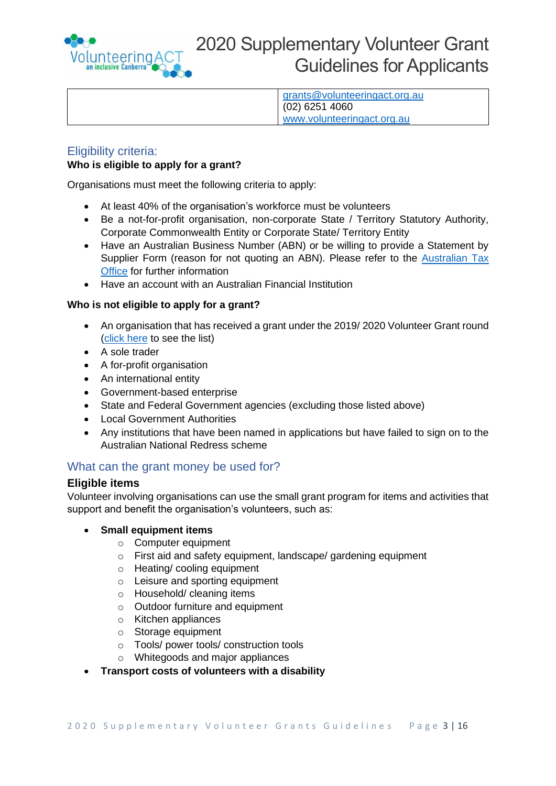

[grants@volunteeringact.org.au](mailto:grants@volunteeringact.org.au) (02) 6251 4060 [www.volunteeringact.org.au](http://www.volunteeringact.org.au/)

# <span id="page-2-0"></span>Eligibility criteria:

# **Who is eligible to apply for a grant?**

Organisations must meet the following criteria to apply:

- At least 40% of the organisation's workforce must be volunteers
- Be a not-for-profit organisation, non-corporate State / Territory Statutory Authority, Corporate Commonwealth Entity or Corporate State/ Territory Entity
- Have an Australian Business Number (ABN) or be willing to provide a Statement by Supplier Form (reason for not quoting an ABN). Please refer to the [Australian Tax](https://www.ato.gov.au/forms/statement-by-a-supplier-not-quoting-an-abn/)  [Office](https://www.ato.gov.au/forms/statement-by-a-supplier-not-quoting-an-abn/) for further information
- Have an account with an Australian Financial Institution

# **Who is not eligible to apply for a grant?**

- An organisation that has received a grant under the 2019/ 2020 Volunteer Grant round [\(click here](https://www.communitygrants.gov.au/grants/volunteer-grants-activity-2019-20) to see the list)
- A sole trader
- A for-profit organisation
- An international entity
- Government-based enterprise
- State and Federal Government agencies (excluding those listed above)
- Local Government Authorities
- Any institutions that have been named in applications but have failed to sign on to the Australian National Redress scheme

# <span id="page-2-1"></span>What can the grant money be used for?

# <span id="page-2-2"></span>**Eligible items**

Volunteer involving organisations can use the small grant program for items and activities that support and benefit the organisation's volunteers, such as:

# • **Small equipment items**

- o Computer equipment
- o First aid and safety equipment, landscape/ gardening equipment
- o Heating/ cooling equipment
- o Leisure and sporting equipment
- o Household/ cleaning items
- o Outdoor furniture and equipment
- o Kitchen appliances
- o Storage equipment
- o Tools/ power tools/ construction tools
- o Whitegoods and major appliances
- **Transport costs of volunteers with a disability**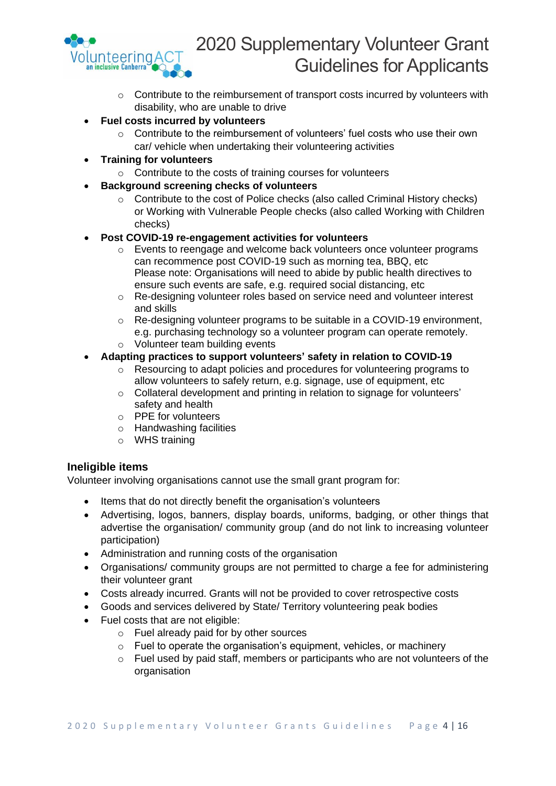

- o Contribute to the reimbursement of transport costs incurred by volunteers with disability, who are unable to drive
- **Fuel costs incurred by volunteers**
	- o Contribute to the reimbursement of volunteers' fuel costs who use their own car/ vehicle when undertaking their volunteering activities
- **Training for volunteers**
	- o Contribute to the costs of training courses for volunteers
- **Background screening checks of volunteers**
	- o Contribute to the cost of Police checks (also called Criminal History checks) or Working with Vulnerable People checks (also called Working with Children checks)
- **Post COVID-19 re-engagement activities for volunteers**
	- $\circ$  Events to reengage and welcome back volunteers once volunteer programs can recommence post COVID-19 such as morning tea, BBQ, etc Please note: Organisations will need to abide by public health directives to ensure such events are safe, e.g. required social distancing, etc
	- o Re-designing volunteer roles based on service need and volunteer interest and skills
	- o Re-designing volunteer programs to be suitable in a COVID-19 environment, e.g. purchasing technology so a volunteer program can operate remotely.
	- o Volunteer team building events

# • **Adapting practices to support volunteers' safety in relation to COVID-19**

- o Resourcing to adapt policies and procedures for volunteering programs to allow volunteers to safely return, e.g. signage, use of equipment, etc
- o Collateral development and printing in relation to signage for volunteers' safety and health
- o PPE for volunteers
- o Handwashing facilities
- o WHS training

# <span id="page-3-0"></span>**Ineligible items**

Volunteer involving organisations cannot use the small grant program for:

- Items that do not directly benefit the organisation's volunteers
- Advertising, logos, banners, display boards, uniforms, badging, or other things that advertise the organisation/ community group (and do not link to increasing volunteer participation)
- Administration and running costs of the organisation
- Organisations/ community groups are not permitted to charge a fee for administering their volunteer grant
- Costs already incurred. Grants will not be provided to cover retrospective costs
- Goods and services delivered by State/ Territory volunteering peak bodies
- Fuel costs that are not eligible:
	- o Fuel already paid for by other sources
	- o Fuel to operate the organisation's equipment, vehicles, or machinery
	- o Fuel used by paid staff, members or participants who are not volunteers of the organisation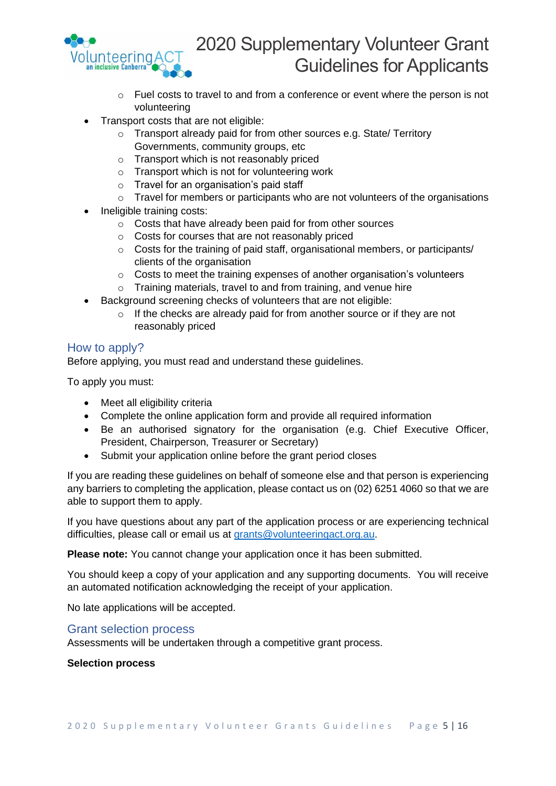

- o Fuel costs to travel to and from a conference or event where the person is not volunteering
- Transport costs that are not eligible:
	- o Transport already paid for from other sources e.g. State/ Territory Governments, community groups, etc
	- o Transport which is not reasonably priced
	- o Transport which is not for volunteering work
	- o Travel for an organisation's paid staff
	- o Travel for members or participants who are not volunteers of the organisations
- Ineligible training costs:
	- o Costs that have already been paid for from other sources
	- o Costs for courses that are not reasonably priced
	- o Costs for the training of paid staff, organisational members, or participants/ clients of the organisation
	- o Costs to meet the training expenses of another organisation's volunteers
	- $\circ$  Training materials, travel to and from training, and venue hire
- Background screening checks of volunteers that are not eligible:
	- $\circ$  If the checks are already paid for from another source or if they are not reasonably priced

# <span id="page-4-0"></span>How to apply?

Before applying, you must read and understand these guidelines.

To apply you must:

- Meet all eligibility criteria
- Complete the online application form and provide all required information
- Be an authorised signatory for the organisation (e.g. Chief Executive Officer, President, Chairperson, Treasurer or Secretary)
- Submit your application online before the grant period closes

If you are reading these guidelines on behalf of someone else and that person is experiencing any barriers to completing the application, please contact us on (02) 6251 4060 so that we are able to support them to apply.

If you have questions about any part of the application process or are experiencing technical difficulties, please call or email us at [grants@volunteeringact.org.au.](mailto:grants@volunteeringact.org.au)

**Please note:** You cannot change your application once it has been submitted.

You should keep a copy of your application and any supporting documents. You will receive an automated notification acknowledging the receipt of your application.

No late applications will be accepted.

# <span id="page-4-1"></span>Grant selection process

Assessments will be undertaken through a competitive grant process.

# **Selection process**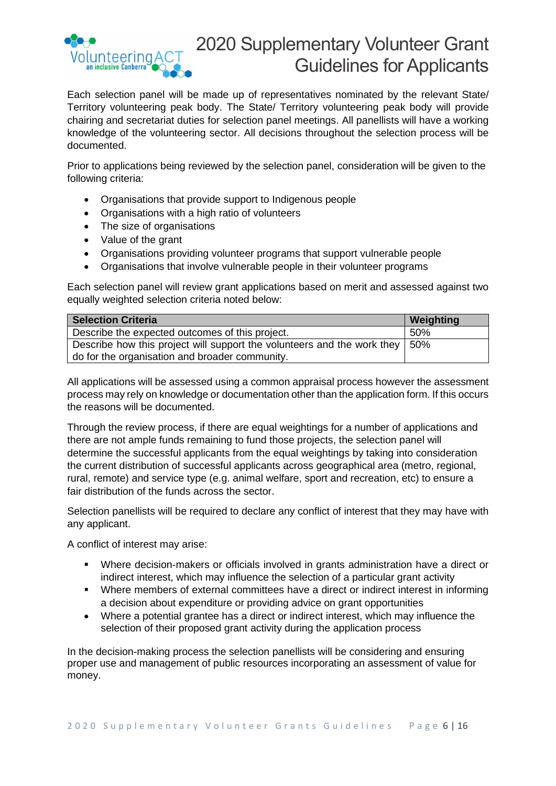

Each selection panel will be made up of representatives nominated by the relevant State/ Territory volunteering peak body. The State/ Territory volunteering peak body will provide chairing and secretariat duties for selection panel meetings. All panellists will have a working knowledge of the volunteering sector. All decisions throughout the selection process will be documented.

Prior to applications being reviewed by the selection panel, consideration will be given to the following criteria:

- Organisations that provide support to Indigenous people
- Organisations with a high ratio of volunteers
- The size of organisations
- Value of the grant
- Organisations providing volunteer programs that support vulnerable people
- Organisations that involve vulnerable people in their volunteer programs

Each selection panel will review grant applications based on merit and assessed against two equally weighted selection criteria noted below:

| Weighting                                                                     |
|-------------------------------------------------------------------------------|
| 50%                                                                           |
| Describe how this project will support the volunteers and the work they   50% |
|                                                                               |

All applications will be assessed using a common appraisal process however the assessment process may rely on knowledge or documentation other than the application form. If this occurs the reasons will be documented.

Through the review process, if there are equal weightings for a number of applications and there are not ample funds remaining to fund those projects, the selection panel will determine the successful applicants from the equal weightings by taking into consideration the current distribution of successful applicants across geographical area (metro, regional, rural, remote) and service type (e.g. animal welfare, sport and recreation, etc) to ensure a fair distribution of the funds across the sector.

Selection panellists will be required to declare any conflict of interest that they may have with any applicant.

A conflict of interest may arise:

- Where decision-makers or officials involved in grants administration have a direct or indirect interest, which may influence the selection of a particular grant activity
- Where members of external committees have a direct or indirect interest in informing a decision about expenditure or providing advice on grant opportunities
- Where a potential grantee has a direct or indirect interest, which may influence the selection of their proposed grant activity during the application process

In the decision-making process the selection panellists will be considering and ensuring proper use and management of public resources incorporating an assessment of value for money.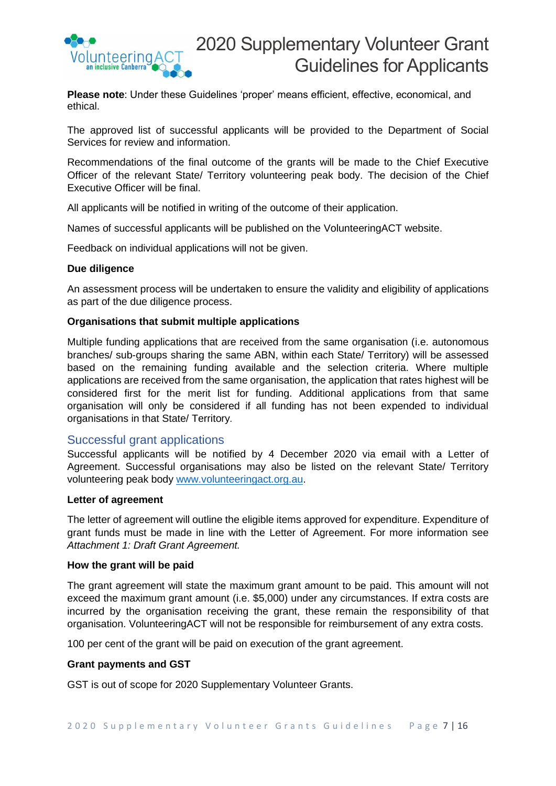

**Please note**: Under these Guidelines 'proper' means efficient, effective, economical, and ethical.

The approved list of successful applicants will be provided to the Department of Social Services for review and information.

Recommendations of the final outcome of the grants will be made to the Chief Executive Officer of the relevant State/ Territory volunteering peak body. The decision of the Chief Executive Officer will be final.

All applicants will be notified in writing of the outcome of their application.

Names of successful applicants will be published on the VolunteeringACT website.

Feedback on individual applications will not be given.

## **Due diligence**

An assessment process will be undertaken to ensure the validity and eligibility of applications as part of the due diligence process.

## **Organisations that submit multiple applications**

Multiple funding applications that are received from the same organisation (i.e. autonomous branches/ sub-groups sharing the same ABN, within each State/ Territory) will be assessed based on the remaining funding available and the selection criteria. Where multiple applications are received from the same organisation, the application that rates highest will be considered first for the merit list for funding. Additional applications from that same organisation will only be considered if all funding has not been expended to individual organisations in that State/ Territory*.*

# <span id="page-6-0"></span>Successful grant applications

Successful applicants will be notified by 4 December 2020 via email with a Letter of Agreement. Successful organisations may also be listed on the relevant State/ Territory volunteering peak body [www.volunteeringact.org.au.](http://www.volunteeringact.org.au/)

#### **Letter of agreement**

The letter of agreement will outline the eligible items approved for expenditure. Expenditure of grant funds must be made in line with the Letter of Agreement. For more information see *Attachment 1: Draft Grant Agreement.*

#### **How the grant will be paid**

The grant agreement will state the maximum grant amount to be paid. This amount will not exceed the maximum grant amount (i.e. \$5,000) under any circumstances. If extra costs are incurred by the organisation receiving the grant, these remain the responsibility of that organisation. VolunteeringACT will not be responsible for reimbursement of any extra costs.

100 per cent of the grant will be paid on execution of the grant agreement.

#### **Grant payments and GST**

GST is out of scope for 2020 Supplementary Volunteer Grants.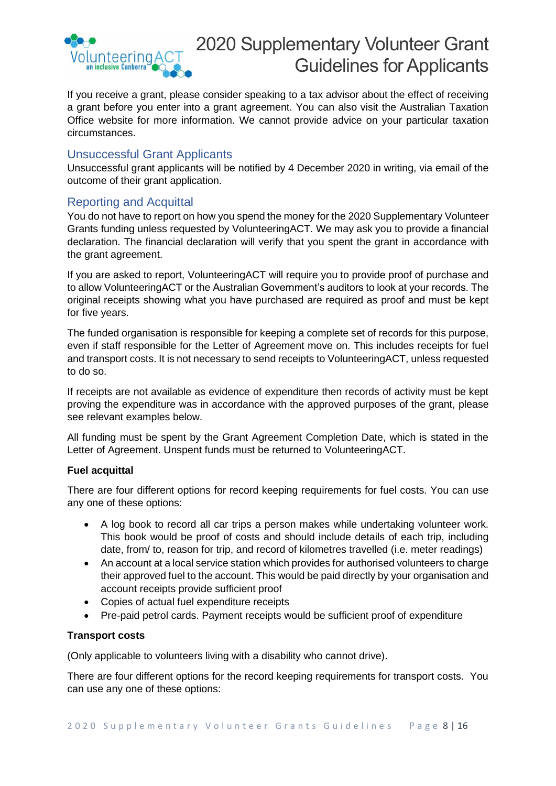

If you receive a grant, please consider speaking to a tax advisor about the effect of receiving a grant before you enter into a grant agreement. You can also visit the Australian Taxation Office website for more information. We cannot provide advice on your particular taxation circumstances.

# <span id="page-7-0"></span>Unsuccessful Grant Applicants

Unsuccessful grant applicants will be notified by 4 December 2020 in writing, via email of the outcome of their grant application.

# <span id="page-7-1"></span>Reporting and Acquittal

You do not have to report on how you spend the money for the 2020 Supplementary Volunteer Grants funding unless requested by VolunteeringACT. We may ask you to provide a financial declaration. The financial declaration will verify that you spent the grant in accordance with the grant agreement.

If you are asked to report, VolunteeringACT will require you to provide proof of purchase and to allow VolunteeringACT or the Australian Government's auditors to look at your records. The original receipts showing what you have purchased are required as proof and must be kept for five years.

The funded organisation is responsible for keeping a complete set of records for this purpose, even if staff responsible for the Letter of Agreement move on. This includes receipts for fuel and transport costs. It is not necessary to send receipts to VolunteeringACT, unless requested to do so.

If receipts are not available as evidence of expenditure then records of activity must be kept proving the expenditure was in accordance with the approved purposes of the grant, please see relevant examples below.

All funding must be spent by the Grant Agreement Completion Date, which is stated in the Letter of Agreement. Unspent funds must be returned to VolunteeringACT.

# **Fuel acquittal**

There are four different options for record keeping requirements for fuel costs. You can use any one of these options:

- A log book to record all car trips a person makes while undertaking volunteer work. This book would be proof of costs and should include details of each trip, including date, from/ to, reason for trip, and record of kilometres travelled (i.e. meter readings)
- An account at a local service station which provides for authorised volunteers to charge their approved fuel to the account. This would be paid directly by your organisation and account receipts provide sufficient proof
- Copies of actual fuel expenditure receipts
- Pre-paid petrol cards. Payment receipts would be sufficient proof of expenditure

# **Transport costs**

(Only applicable to volunteers living with a disability who cannot drive).

There are four different options for the record keeping requirements for transport costs. You can use any one of these options: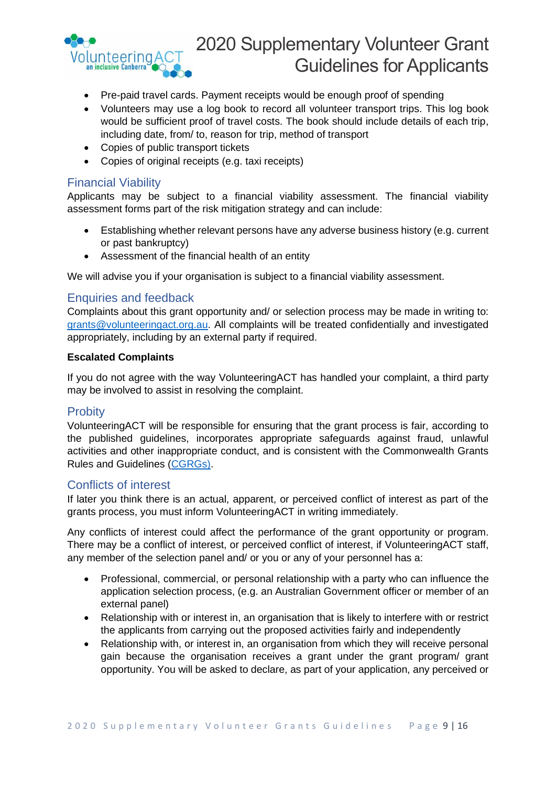

- Pre-paid travel cards. Payment receipts would be enough proof of spending
- Volunteers may use a log book to record all volunteer transport trips. This log book would be sufficient proof of travel costs. The book should include details of each trip, including date, from/ to, reason for trip, method of transport
- Copies of public transport tickets
- Copies of original receipts (e.g. taxi receipts)

# <span id="page-8-0"></span>Financial Viability

Applicants may be subject to a financial viability assessment. The financial viability assessment forms part of the risk mitigation strategy and can include:

- Establishing whether relevant persons have any adverse business history (e.g. current or past bankruptcy)
- Assessment of the financial health of an entity

We will advise you if your organisation is subject to a financial viability assessment.

# <span id="page-8-1"></span>Enquiries and feedback

Complaints about this grant opportunity and/ or selection process may be made in writing to: [grants@volunteeringact.org.au.](mailto:grants@volunteeringact.org.au) All complaints will be treated confidentially and investigated appropriately, including by an external party if required.

## **Escalated Complaints**

If you do not agree with the way VolunteeringACT has handled your complaint, a third party may be involved to assist in resolving the complaint.

# <span id="page-8-2"></span>**Probity**

VolunteeringACT will be responsible for ensuring that the grant process is fair, according to the published guidelines, incorporates appropriate safeguards against fraud, unlawful activities and other inappropriate conduct, and is consistent with the Commonwealth Grants Rules and Guidelines [\(CGRGs\)](https://www.communitygrants.gov.au/).

# <span id="page-8-3"></span>Conflicts of interest

If later you think there is an actual, apparent, or perceived conflict of interest as part of the grants process, you must inform VolunteeringACT in writing immediately.

Any conflicts of interest could affect the performance of the grant opportunity or program. There may be a conflict of interest, or perceived conflict of interest, if VolunteeringACT staff, any member of the selection panel and/ or you or any of your personnel has a:

- Professional, commercial, or personal relationship with a party who can influence the application selection process, (e.g. an Australian Government officer or member of an external panel)
- Relationship with or interest in, an organisation that is likely to interfere with or restrict the applicants from carrying out the proposed activities fairly and independently
- Relationship with, or interest in, an organisation from which they will receive personal gain because the organisation receives a grant under the grant program/ grant opportunity. You will be asked to declare, as part of your application, any perceived or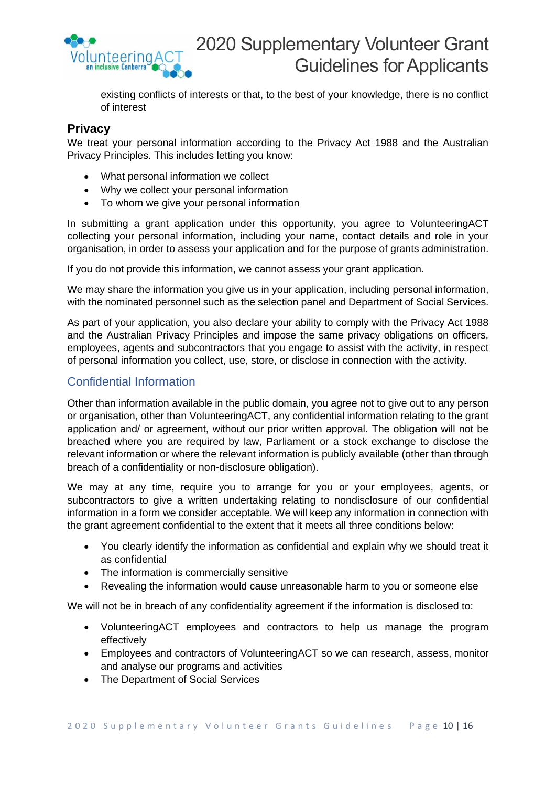

existing conflicts of interests or that, to the best of your knowledge, there is no conflict of interest

# **Privacy**

We treat your personal information according to the Privacy Act 1988 and the Australian Privacy Principles. This includes letting you know:

- What personal information we collect
- Why we collect your personal information
- To whom we give your personal information

In submitting a grant application under this opportunity, you agree to VolunteeringACT collecting your personal information, including your name, contact details and role in your organisation, in order to assess your application and for the purpose of grants administration.

If you do not provide this information, we cannot assess your grant application.

We may share the information you give us in your application, including personal information, with the nominated personnel such as the selection panel and Department of Social Services.

As part of your application, you also declare your ability to comply with the Privacy Act 1988 and the Australian Privacy Principles and impose the same privacy obligations on officers, employees, agents and subcontractors that you engage to assist with the activity, in respect of personal information you collect, use, store, or disclose in connection with the activity.

# Confidential Information

Other than information available in the public domain, you agree not to give out to any person or organisation, other than VolunteeringACT, any confidential information relating to the grant application and/ or agreement, without our prior written approval. The obligation will not be breached where you are required by law, Parliament or a stock exchange to disclose the relevant information or where the relevant information is publicly available (other than through breach of a confidentiality or non-disclosure obligation).

We may at any time, require you to arrange for you or your employees, agents, or subcontractors to give a written undertaking relating to nondisclosure of our confidential information in a form we consider acceptable. We will keep any information in connection with the grant agreement confidential to the extent that it meets all three conditions below:

- You clearly identify the information as confidential and explain why we should treat it as confidential
- The information is commercially sensitive
- Revealing the information would cause unreasonable harm to you or someone else

We will not be in breach of any confidentiality agreement if the information is disclosed to:

- VolunteeringACT employees and contractors to help us manage the program effectively
- Employees and contractors of VolunteeringACT so we can research, assess, monitor and analyse our programs and activities
- The Department of Social Services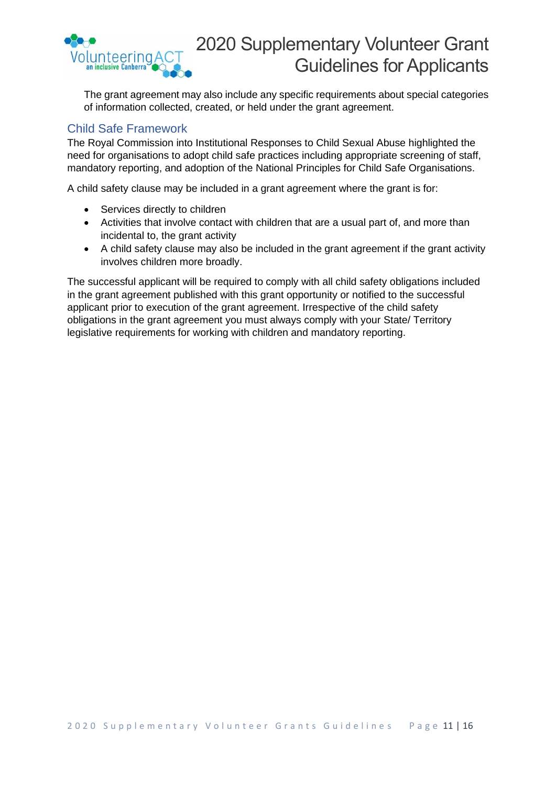

The grant agreement may also include any specific requirements about special categories of information collected, created, or held under the grant agreement.

# <span id="page-10-0"></span>Child Safe Framework

The Royal Commission into Institutional Responses to Child Sexual Abuse highlighted the need for organisations to adopt child safe practices including appropriate screening of staff, mandatory reporting, and adoption of the National Principles for Child Safe Organisations.

A child safety clause may be included in a grant agreement where the grant is for:

- Services directly to children
- Activities that involve contact with children that are a usual part of, and more than incidental to, the grant activity
- A child safety clause may also be included in the grant agreement if the grant activity involves children more broadly.

The successful applicant will be required to comply with all child safety obligations included in the grant agreement published with this grant opportunity or notified to the successful applicant prior to execution of the grant agreement. Irrespective of the child safety obligations in the grant agreement you must always comply with your State/ Territory legislative requirements for working with children and mandatory reporting.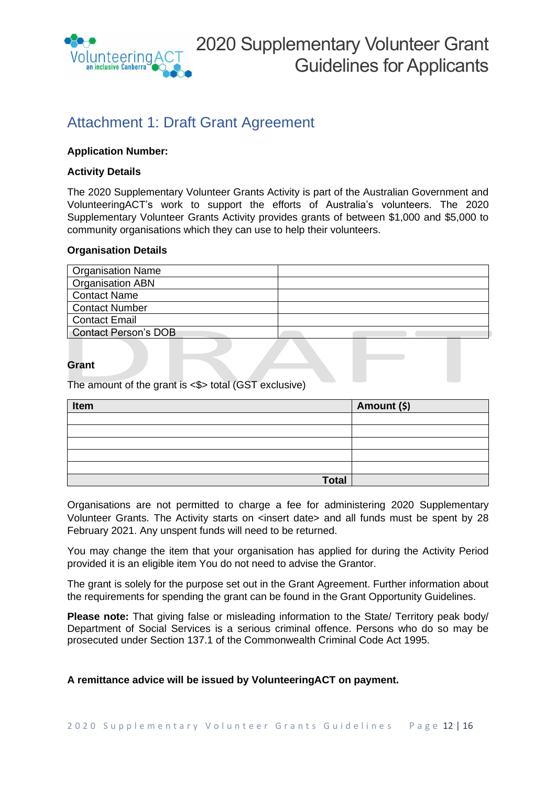

# <span id="page-11-0"></span>Attachment 1: Draft Grant Agreement

# **Application Number:**

# **Activity Details**

The 2020 Supplementary Volunteer Grants Activity is part of the Australian Government and VolunteeringACT's work to support the efforts of Australia's volunteers. The 2020 Supplementary Volunteer Grants Activity provides grants of between \$1,000 and \$5,000 to community organisations which they can use to help their volunteers.

## **Organisation Details**

| <b>Organisation Name</b> |  |
|--------------------------|--|
| <b>Organisation ABN</b>  |  |
| <b>Contact Name</b>      |  |
| <b>Contact Number</b>    |  |
| <b>Contact Email</b>     |  |
| Contact Person's DOB     |  |

# **Grant**

The amount of the grant is <\$> total (GST exclusive)

| Item         | Amount (\$) |
|--------------|-------------|
|              |             |
|              |             |
|              |             |
|              |             |
|              |             |
| <b>Total</b> |             |

Organisations are not permitted to charge a fee for administering 2020 Supplementary Volunteer Grants. The Activity starts on <insert date> and all funds must be spent by 28 February 2021. Any unspent funds will need to be returned.

You may change the item that your organisation has applied for during the Activity Period provided it is an eligible item You do not need to advise the Grantor.

The grant is solely for the purpose set out in the Grant Agreement. Further information about the requirements for spending the grant can be found in the Grant Opportunity Guidelines.

**Please note:** That giving false or misleading information to the State/ Territory peak body/ Department of Social Services is a serious criminal offence. Persons who do so may be prosecuted under Section 137.1 of the Commonwealth Criminal Code Act 1995.

# **A remittance advice will be issued by VolunteeringACT on payment.**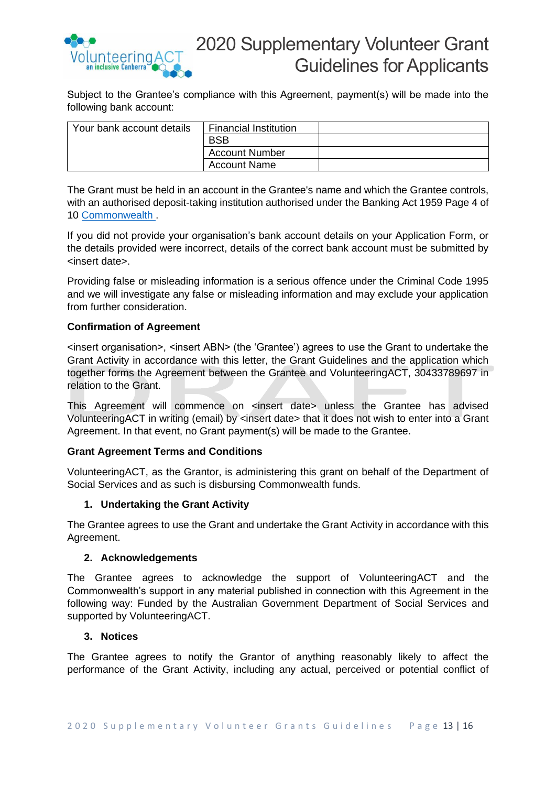

Subject to the Grantee's compliance with this Agreement, payment(s) will be made into the following bank account:

| Your bank account details | <b>Financial Institution</b> |  |
|---------------------------|------------------------------|--|
|                           | <b>BSB</b>                   |  |
|                           | <b>Account Number</b>        |  |
|                           | <b>Account Name</b>          |  |

The Grant must be held in an account in the Grantee's name and which the Grantee controls, with an authorised deposit-taking institution authorised under the Banking Act 1959 Page 4 of 10 [Commonwealth](https://www.finance.gov.au/government/commonwealth-grants/commonwealth-grants-rules-guidelines) .

If you did not provide your organisation's bank account details on your Application Form, or the details provided were incorrect, details of the correct bank account must be submitted by <insert date>.

Providing false or misleading information is a serious offence under the Criminal Code 1995 and we will investigate any false or misleading information and may exclude your application from further consideration.

# **Confirmation of Agreement**

<insert organisation>, <insert ABN> (the 'Grantee') agrees to use the Grant to undertake the Grant Activity in accordance with this letter, the Grant Guidelines and the application which together forms the Agreement between the Grantee and VolunteeringACT, 30433789697 in relation to the Grant.

This Agreement will commence on <insert date> unless the Grantee has advised VolunteeringACT in writing (email) by <insert date> that it does not wish to enter into a Grant Agreement. In that event, no Grant payment(s) will be made to the Grantee.

# **Grant Agreement Terms and Conditions**

VolunteeringACT, as the Grantor, is administering this grant on behalf of the Department of Social Services and as such is disbursing Commonwealth funds.

# **1. Undertaking the Grant Activity**

The Grantee agrees to use the Grant and undertake the Grant Activity in accordance with this Agreement.

# **2. Acknowledgements**

The Grantee agrees to acknowledge the support of VolunteeringACT and the Commonwealth's support in any material published in connection with this Agreement in the following way: Funded by the Australian Government Department of Social Services and supported by VolunteeringACT.

#### **3. Notices**

The Grantee agrees to notify the Grantor of anything reasonably likely to affect the performance of the Grant Activity, including any actual, perceived or potential conflict of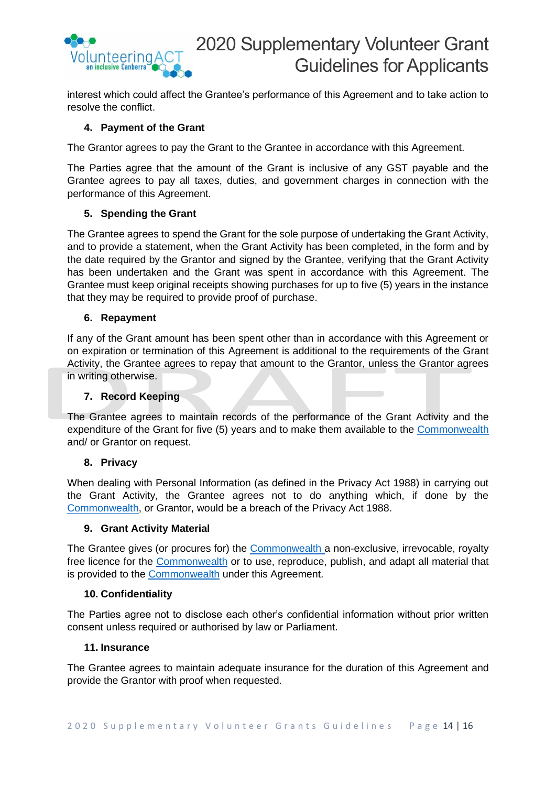

interest which could affect the Grantee's performance of this Agreement and to take action to resolve the conflict.

# **4. Payment of the Grant**

The Grantor agrees to pay the Grant to the Grantee in accordance with this Agreement.

The Parties agree that the amount of the Grant is inclusive of any GST payable and the Grantee agrees to pay all taxes, duties, and government charges in connection with the performance of this Agreement.

# **5. Spending the Grant**

The Grantee agrees to spend the Grant for the sole purpose of undertaking the Grant Activity, and to provide a statement, when the Grant Activity has been completed, in the form and by the date required by the Grantor and signed by the Grantee, verifying that the Grant Activity has been undertaken and the Grant was spent in accordance with this Agreement. The Grantee must keep original receipts showing purchases for up to five (5) years in the instance that they may be required to provide proof of purchase.

## **6. Repayment**

If any of the Grant amount has been spent other than in accordance with this Agreement or on expiration or termination of this Agreement is additional to the requirements of the Grant Activity, the Grantee agrees to repay that amount to the Grantor, unless the Grantor agrees in writing otherwise.

#### **7. Record Keeping**

The Grantee agrees to maintain records of the performance of the Grant Activity and the expenditure of the Grant for five (5) years and to make them available to the [Commonwealth](https://www.finance.gov.au/government/commonwealth-grants/commonwealth-grants-rules-guidelines) and/ or Grantor on request.

#### **8. Privacy**

When dealing with Personal Information (as defined in the Privacy Act 1988) in carrying out the Grant Activity, the Grantee agrees not to do anything which, if done by the [Commonwealth,](https://www.finance.gov.au/government/commonwealth-grants/commonwealth-grants-rules-guidelines) or Grantor, would be a breach of the Privacy Act 1988.

#### **9. Grant Activity Material**

The Grantee gives (or procures for) the [Commonwealth](https://www.finance.gov.au/government/commonwealth-grants/commonwealth-grants-rules-guidelines) a non-exclusive, irrevocable, royalty free licence for the [Commonwealth](https://www.finance.gov.au/government/commonwealth-grants/commonwealth-grants-rules-guidelines) or to use, reproduce, publish, and adapt all material that is provided to the [Commonwealth](https://www.finance.gov.au/government/commonwealth-grants/commonwealth-grants-rules-guidelines) under this Agreement.

#### **10. Confidentiality**

The Parties agree not to disclose each other's confidential information without prior written consent unless required or authorised by law or Parliament.

#### **11. Insurance**

The Grantee agrees to maintain adequate insurance for the duration of this Agreement and provide the Grantor with proof when requested.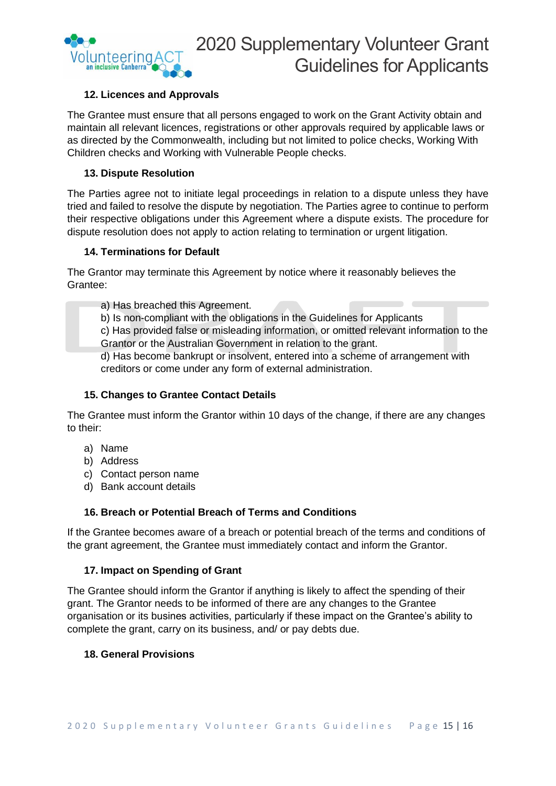

# **12. Licences and Approvals**

The Grantee must ensure that all persons engaged to work on the Grant Activity obtain and maintain all relevant licences, registrations or other approvals required by applicable laws or as directed by the Commonwealth, including but not limited to police checks, Working With Children checks and Working with Vulnerable People checks.

# **13. Dispute Resolution**

The Parties agree not to initiate legal proceedings in relation to a dispute unless they have tried and failed to resolve the dispute by negotiation. The Parties agree to continue to perform their respective obligations under this Agreement where a dispute exists. The procedure for dispute resolution does not apply to action relating to termination or urgent litigation.

# **14. Terminations for Default**

The Grantor may terminate this Agreement by notice where it reasonably believes the Grantee:

a) Has breached this Agreement.

b) Is non-compliant with the obligations in the Guidelines for Applicants

c) Has provided false or misleading information, or omitted relevant information to the Grantor or the Australian Government in relation to the grant.

d) Has become bankrupt or insolvent, entered into a scheme of arrangement with creditors or come under any form of external administration.

# **15. Changes to Grantee Contact Details**

The Grantee must inform the Grantor within 10 days of the change, if there are any changes to their:

- a) Name
- b) Address
- c) Contact person name
- d) Bank account details

# **16. Breach or Potential Breach of Terms and Conditions**

If the Grantee becomes aware of a breach or potential breach of the terms and conditions of the grant agreement, the Grantee must immediately contact and inform the Grantor.

# **17. Impact on Spending of Grant**

The Grantee should inform the Grantor if anything is likely to affect the spending of their grant. The Grantor needs to be informed of there are any changes to the Grantee organisation or its busines activities, particularly if these impact on the Grantee's ability to complete the grant, carry on its business, and/ or pay debts due.

# **18. General Provisions**